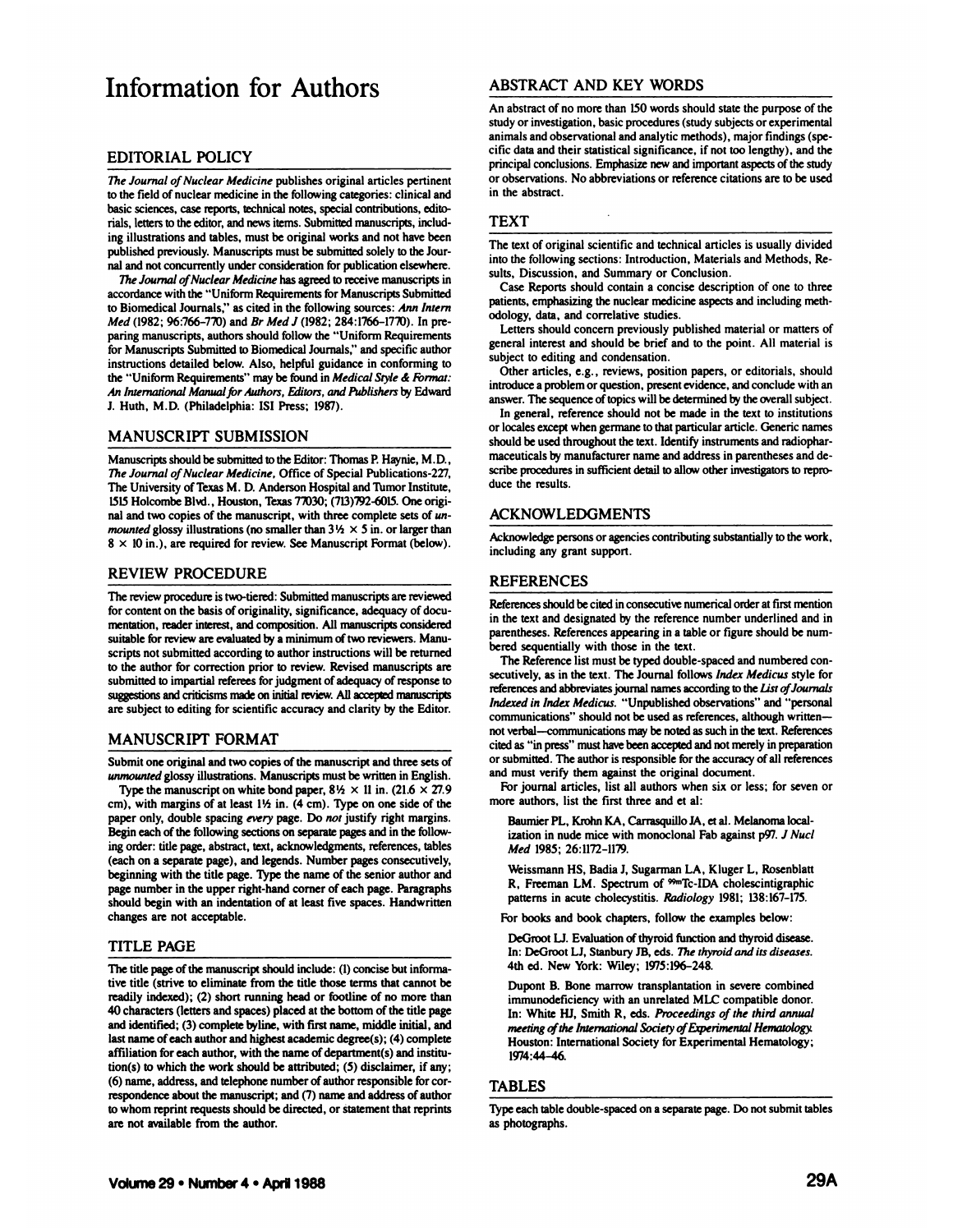# **Information for Authors**

# **EDITORIAL POLICY**

The Journal of Nuclear Medicine publishes original articles pertinent to the field of nuclear medicine in the following categories: clinical and basic sciences, case reports, technical notes, special contributions, editorials, letters to the editor, and news items. Submitted manuscripts, including illustrations and tables, must be original works and not have been published previously. Manuscripts must be submitted solely to the Journal and not concurrently under consideration for publication elsewhere.

*The Journal of Nuclear Medicine* has agreed to receive manuscripts in accordance with the "Uniform Requirements for Manuscripts Submitted to Biomedical Journals," as cited in the following sources: Ann Intern **Med(1982;96:766—7X@) andBrMcdl (1982;284:l766—17'@). In pre** paring manuscripts, authors should follow the "Uniform Requirements for Manuscripts Submitted to Biomedical Journals," and specific author instructions detailed below. Also, helpful guidance in conforming to the "Uniform Requirements" may be found in Medical Style & Format: An International Manual for Authors, Editors, and Publishers by Edward **J. Huth, M.D. (Philadelphia: IS! Press; l9@7).**

# MANUSCRIPT SUBMISSION

Manuscripts should be submitted to the Editor: Thomas P. Haynie, M.D., **The Journal of Nuclear Medicine, Office of Special Publications-227,** The University of Texas M. D. Anderson Hospital and Tumor Institute, 1515 Holcombe Blvd., Houston, Texas 77030; (713)792-6015. One original and two copies of the manuscript, with three complete sets of un*mounted glossy illustrations (no smaller than*  $3\frac{1}{2} \times 5$  *in. or larger than*  $8 \times 10$  in.), are required for review. See Manuscript Format (below).

#### **REVIEW PROCEDURE**

The review procedure is two-tiered: Submitted manuscripts are reviewed for content on the basis of originality, significance, adequacy of documentation, reader interest, and composition. All manuscripts considered suitable for review are evaluated by a minimum of two reviewers. Manuscripts not submitted according to author instructions will be returned **to the author for correction prior to review. Revised manuscripts are** submitted to impartial referees for judgment of adequacy of response to suggestions and criticisms made on initial review. All accepted manuscripts are subject to editing for scientific accuracy and clarity by the Editor.

# MANUSCRIPT FORMAT

Submit one original and two copies of the manuscript and three sets of unmounted glossy illustrations. Manuscripts must be written in English.

Type the manuscript on white bond paper,  $8\frac{1}{2} \times 11$  in. (21.6  $\times$  27.9) cm), with margins of at least 1½ in. (4 cm). Type on one side of the paper only, double spacing every page. Do not justify right margins. Begin each of the following sections on separate pages and in the following order: title page, abstract, text, acknowledgments, references, tables (each on a separate page), and legends. Number pages consecutively, beginning with the title page. Type the name of the senior author and page number in the upper right-hand corner of each page. Paragraphs should begin with an indentation of at least five spaces. Handwritten changes are not acceptable.

#### **TITLE PAGE**

The title page of the manuscript should include: (1) concise but informative title (strive to eliminate from the title those terms that cannot be readily indexed); (2) short running head or footline of no more than **40characters(lettersandspaces)placedatthebottomofthetitlepage** and identified; (3) complete byline, with first name, middle initial, and last name of each author and highest academic degree(s);  $(4)$  complete affiliation for each author, with the name of department(s) and institution(s) to which the work should be attributed; (5) disclaimer, if any; **(6) name, address, and telephone number ofauthor responsible for cor** respondence about the manuscript; and (7) name and address of author **to whom reprint requests should be directed, or statement that reprints** are not available from the author.

# **ABSTRACT AND KEY WORDS**

An abstract of no more than 150 words should state the purpose of the study or investigation, basic procedures (study subjects or experimental animals and observational and analytic methods), major findings (specific data and their statistical significance, if not too lengthy), and the principal conclusions. Emphasize new and important aspects of the study or observations. No abbreviations or reference citations are to be used in the abstract.

# **TEXT**

The text of original scientific and technical articles is usually divided into the following sections: Introduction, Materials and Methods, Results, Discussion, and Summary or Conclusion.

**Case Reportsshouldcontaina concise descriptionof one to three** patients, emphasizing the nuclear medicine aspects and including methodology, data, and correlative studies.

Letters should concern previously published material or matters of general interest and should be brief and to the point. All material is subject to editing and condensation.

Other articles, e.g. , reviews, position papers, or editorials, should introduce a problem or question, present evidence, and conclude with an answer. The sequence of topics will be determined by the overall subject.

**In general, reference should not be made in the text to institutions** or locales except when germane to that particular article. Generic names should be used throughout the text. Identify instruments and radiopharmaceuticals by manufacturer name and address in parentheses and describe procedures in sufficient detail to allow other investigators to reproduce the results.

# ACKNOWLEDGMENTS

Acknowledge persons or agencies contributing substantially to the work, including any grant support.

#### **REFERENCES**

References should be cited in consecutive numerical order at first mention in the text and designated by the reference number underlined and in parentheses. References appearing in a table or figure should be numbered sequentially with those in the text.

The Reference list must be typed double-spaced and numbered consecutively, as in the text. The Journal follows Index Medicus style for references and abbreviates journal names according to the List of Journals *Indexed in Index Medicus.* "Unpublished observations" and "personal communications" should not be used as references, although writtennot verbal—communications may be noted as such in the text. References cited as "in press" must have been accepted and not merely in preparation or submitted. The author is responsible for the accuracy of all references and must verify them against the original document.

For journal articles, list all authors when six or less; for seven or more authors, list the first three and et al:

Baumier PL, Krohn KA, Carrasquillo JA, et al. Melanoma localization in nude mice with monoclonal Fab against p97. J Nucl **Med 1985;26:ll72-ll'@.**

Weissmann HS, Badia J, Sugarman LA, Kluger L, Rosenblatt R, Freeman LM. Spectrum of <sup>99m</sup>Tc-IDA cholescintigraphic patterns in acute cholecystitis. Radiology 1981; 138:167-175.

For books and book chapters, follow the examples below:

DeGroot LJ. Evaluation of thyroid function and thyroid disease. In: DeGroot LJ, Stanbury JB, eds. The thyroid and its diseases. 4th ed. New York: Wiley; 1975:196-248.

Dupont B. Bone marrow transplantation in severe combined immunodeficiency with an unrelated MLC compatible donor. In: White HJ, Smith R, eds. Proceedings of the third annual *meetingofthe internoiional Society of &perimental Hematology* Houston: International Society for Experimental Hematology; 1974:44-46.

#### **TABLES**

Type each table double-spaced on a separate page. Do not submit tables as photographs.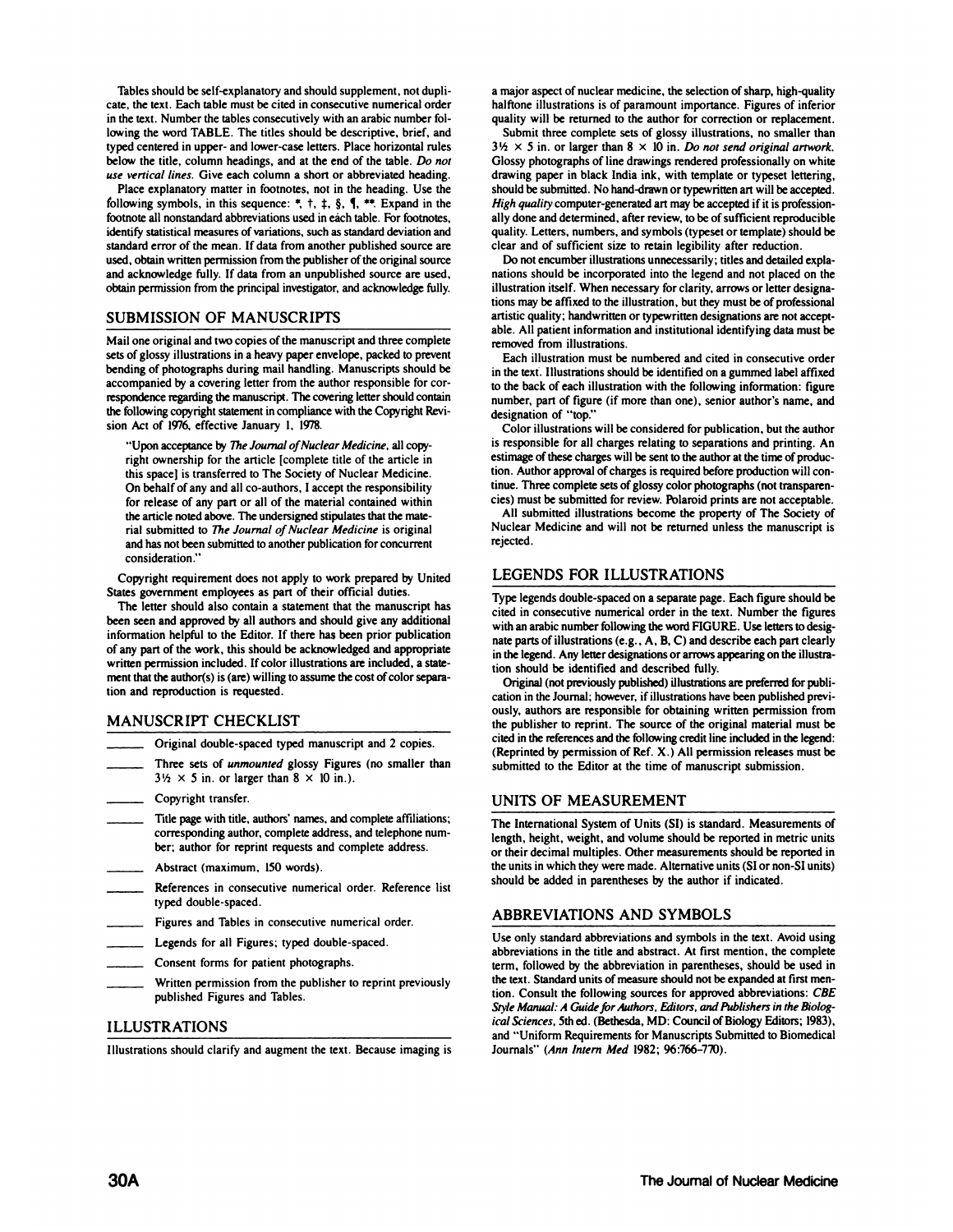Tables should be self-explanatory and should supplement, not duplicare, the text. Each table must be cited in consecutive numerical order in the text. Number the tables consecutively with an arabic number following the word TABLE. The titles should be descriptive, brief, and typed centered in upper- and lower-case letters. Place horizontal rules below the title, column headings, and at the end of the table. Do not *use vertical lines. Give each column a short or abbreviated heading.*

Place explanatory matter in footnotes, not in the heading. Use the following symbols, in this sequence:  $\overline{a}$ ,  $\overline{a}$ ,  $\overline{b}$ ,  $\overline{c}$ ,  $\overline{d}$ ,  $\overline{f}$ . Expand in the footnote all nonstandard abbreviations used in each table. For footnotes, identify statistical measures of variations, such as standard deviation and standard error of the mean. If data from another published source are used, obtain written permission from the publisher of the original source and acknowledge fully. If data from an unpublished source are used, obtain permission from the principal investigator, and acknowledge fully.

# **SUBMISSION OF MANUSCRIPTS**

Mail one original and two copies of the manuscript and three complete sets of glossy illustrations in a heavy paper envelope, packed to prevent bending of photographs during mail handling. Manuscripts should be accompanied by a covering letter from the author responsible for cor respondence regarding the manuscript. The covering letter should contain the following copyright statement in compliance with the Copyright Revi sion Act of 1976, effective January 1, 1978.

"Upon acceptance by The Journal of Nuclear Medicine, all copyright ownership for the article [complete title of the article in this spacel istransferred to The Society of Nuclear Medicine. **Onbehalfofany andall co-authors,I acceptthe responsibility for release of any part or all of the material contained within** the article noted above. The undersigned stipulates that the material submitted to The Journal of Nuclear Medicine is original and has not been submitted to another publication for concurrent consideration.'

Copyright requirement does not apply to work prepared by United States government employees as part of their official duties.

The letter should also contain a statement that the manuscript has been seen and approved by all authors and should give any additional information helpful to the Editor. If there has been prior publication of any part of the work, this should be acknowledged and appropriate written permission included. If color illustrations are included, a statement that the author(s) is (are) willing to assume the cost of color separation and reproduction is requested.

# MANUSCRIPT CHECKLIST

- Original double-spaced typed manuscript and <sup>2</sup> copies. **\_\_\_\_\_\_ Three setsofunmounted glossy Figures (nosmaller than**
- $3\frac{1}{2} \times 5$  in. or larger than  $8 \times 10$  in.).
- 
- Copyright transfer. **\_\_\_\_\_\_ Title page withtitle, authors' names, andcomplete affiliations;** corresponding author, complete address, and telephone num**ber; authorfor reprintrequestsandcompleteaddress. \_\_\_\_\_\_ Abstract (maximum, 150words).** \_\_\_\_\_\_ References inconsecutive nmerical order.Reference list
- 
- typed double-spaced.
- Figures and Tables in consecutive numerical order.
- Legends for all Figures; typed double-spaced.
- 
- \_\_\_\_\_\_Consent formsforpatient photographs. **\_\_\_\_\_\_Written permission fromthepublisher torprint previously** published Figures and Tables.

# **ILLUSTRATIONS**

Illustrations should clarify and augment the text. Because imaging is Journals" (Ann Intern Med 1982; 96:766-770).

a major aspect of nuclear medicine, the selection of sharp, high-quality halftone illustrations is of paramount importance. Figures of inferior quality will be returned to the author for correction or replacement.

Submit three complete sets of glossy illustrations, no smaller than  $3\frac{1}{2} \times 5$  in. or larger than  $8 \times 10$  in. *Do not send original artwork*. Glossy photographs of line drawings rendered professionally on white drawing paper in black India ink, with template or typeset lettering, should be submitted. No hand-drawn or typewritten art will be accepted. *High quality* computer-generated art may be accepted if it is professionally done and determined, after review, to be of sufficient reproducible quality. Letters, numbers, and symbols (typeset or template) should be clear and of sufficient size to retain legibility after reduction.

Do not encumber illustrations unnecessarily; titles and detailed explanations should be incorporated into the legend and not placed on the **illustration itself. When necessary for clarity, arrows or letter designa** tions may be affixed to the illustration, but they must be of professional artistic quality; handwritten or typewritten designations are not acceptable. All patient information and institutional identifying data must be removed from illustrations.

Each illustration must be numbered and cited in consecutive order in the text. Illustrations should be identified on a gummed label affixed **to the back of each illustration with the following information: figure** number, part of figure (if more than one), senior author's name, and designation of "top."

Color illustrationswill be considered for publication, but the author is responsible for all charges relating to separations and printing. An estimage of these charges will be sent to the author at the time of production. Author approval of charges is required before production will continue. Three complete sets of glossy color photographs (not transparencies) must be submitted for review. Polaroid prints are not acceptable.

**All submitted illustrations become the property ofThe Society of** Nuclear Medicine and will not be returned unless the manuscript is rejected.

# **LEGENDS FOR ILLUSTRATIONS**

Type legends double-spaced on a separate page. Each figure should be cited in consecutive numerical order in the text. Number the figures with an arabic number following the word FIGURE. Use letters to designate parts of illustrations (e.g., A, B, C) and describe each part clearly in the legend. Any letter designations or arrows appearing on the illustration should be identified and described fully.

Original (not previously published) illustrations are preferred for publication in the Journal; however, if illustrations have been published previously, authors are responsible for obtaining written permission from the publisher to reprint. The source of the original material must be cited in the references and the following credit line included in the legend: (Reprinted by permission of Ref. X.) All permission releases must be submitted to the Editor at the time of manuscript submission.

# UNITS OF MEASUREMENT

The International System of Units (SI) is standard. Measurements of length, height, weight, and volume should be reported in metric units **or their decimal multiples. Other measurements should be reported in** the units in which they were made. Alternative units (SI or non-SI units) should be added in parentheses by the author if indicated.

# **ABBREVIATIONS AND SYMBOLS**

Use only standard abbreviations and symbols in the text. Avoid using abbreviations in the title and abstract. At first mention, the complete term, followed by the abbreviation in parentheses, should be used in the text. Standard units of measure should not be expanded at first mention. Consult the following sources for approved abbreviations: CBE *Style Manual: A Guide for Authors, Editors, and Publishers in the Biolog***icaiSciences, 5thed.(Bethesda, MD: CouncilofBiologyEditors;1983),** and "Uniform Requirements for Manuscripts Submitted to Biomedical